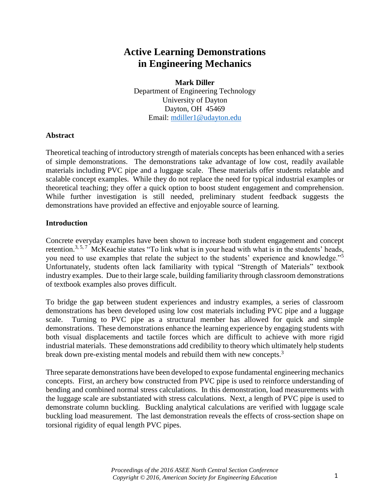# **Active Learning Demonstrations in Engineering Mechanics**

**Mark Diller** Department of Engineering Technology University of Dayton Dayton, OH 45469 Email: [mdiller1@udayton.edu](mailto:mdiller1@udayton.edu)

#### **Abstract**

Theoretical teaching of introductory strength of materials concepts has been enhanced with a series of simple demonstrations. The demonstrations take advantage of low cost, readily available materials including PVC pipe and a luggage scale. These materials offer students relatable and scalable concept examples. While they do not replace the need for typical industrial examples or theoretical teaching; they offer a quick option to boost student engagement and comprehension. While further investigation is still needed, preliminary student feedback suggests the demonstrations have provided an effective and enjoyable source of learning.

#### **Introduction**

Concrete everyday examples have been shown to increase both student engagement and concept retention.<sup>3, 5, 7</sup> McKeachie states "To link what is in your head with what is in the students' heads, you need to use examples that relate the subject to the students' experience and knowledge."<sup>5</sup> Unfortunately, students often lack familiarity with typical "Strength of Materials" textbook industry examples. Due to their large scale, building familiarity through classroom demonstrations of textbook examples also proves difficult.

To bridge the gap between student experiences and industry examples, a series of classroom demonstrations has been developed using low cost materials including PVC pipe and a luggage scale. Turning to PVC pipe as a structural member has allowed for quick and simple demonstrations. These demonstrations enhance the learning experience by engaging students with both visual displacements and tactile forces which are difficult to achieve with more rigid industrial materials. These demonstrations add credibility to theory which ultimately help students break down pre-existing mental models and rebuild them with new concepts.<sup>3</sup>

Three separate demonstrations have been developed to expose fundamental engineering mechanics concepts. First, an archery bow constructed from PVC pipe is used to reinforce understanding of bending and combined normal stress calculations. In this demonstration, load measurements with the luggage scale are substantiated with stress calculations. Next, a length of PVC pipe is used to demonstrate column buckling. Buckling analytical calculations are verified with luggage scale buckling load measurement. The last demonstration reveals the effects of cross-section shape on torsional rigidity of equal length PVC pipes.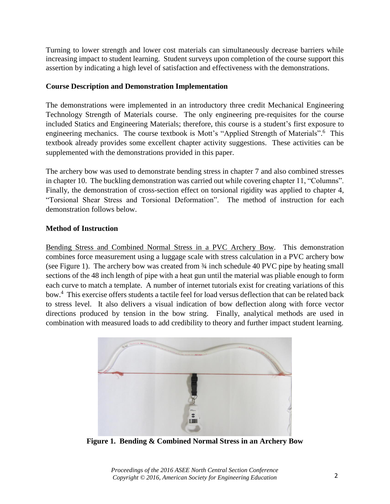Turning to lower strength and lower cost materials can simultaneously decrease barriers while increasing impact to student learning. Student surveys upon completion of the course support this assertion by indicating a high level of satisfaction and effectiveness with the demonstrations.

# **Course Description and Demonstration Implementation**

The demonstrations were implemented in an introductory three credit Mechanical Engineering Technology Strength of Materials course. The only engineering pre-requisites for the course included Statics and Engineering Materials; therefore, this course is a student's first exposure to engineering mechanics. The course textbook is Mott's "Applied Strength of Materials".<sup>6</sup> This textbook already provides some excellent chapter activity suggestions. These activities can be supplemented with the demonstrations provided in this paper.

The archery bow was used to demonstrate bending stress in chapter 7 and also combined stresses in chapter 10. The buckling demonstration was carried out while covering chapter 11, "Columns". Finally, the demonstration of cross-section effect on torsional rigidity was applied to chapter 4, "Torsional Shear Stress and Torsional Deformation". The method of instruction for each demonstration follows below.

## **Method of Instruction**

Bending Stress and Combined Normal Stress in a PVC Archery Bow. This demonstration combines force measurement using a luggage scale with stress calculation in a PVC archery bow (see Figure 1). The archery bow was created from ¾ inch schedule 40 PVC pipe by heating small sections of the 48 inch length of pipe with a heat gun until the material was pliable enough to form each curve to match a template. A number of internet tutorials exist for creating variations of this bow. 4 This exercise offers students a tactile feel for load versus deflection that can be related back to stress level. It also delivers a visual indication of bow deflection along with force vector directions produced by tension in the bow string. Finally, analytical methods are used in combination with measured loads to add credibility to theory and further impact student learning.



**Figure 1. Bending & Combined Normal Stress in an Archery Bow**

*Proceedings of the 2016 ASEE North Central Section Conference Copyright © 2016, American Society for Engineering Education* 2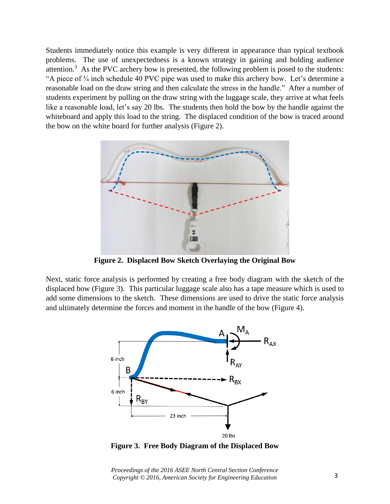Students immediately notice this example is very different in appearance than typical textbook problems. The use of unexpectedness is a known strategy in gaining and holding audience attention.<sup>3</sup> As the PVC archery bow is presented, the following problem is posed to the students: "A piece of ¾ inch schedule 40 PVC pipe was used to make this archery bow. Let's determine a reasonable load on the draw string and then calculate the stress in the handle." After a number of students experiment by pulling on the draw string with the luggage scale, they arrive at what feels like a reasonable load, let's say 20 lbs. The students then hold the bow by the handle against the whiteboard and apply this load to the string. The displaced condition of the bow is traced around the bow on the white board for further analysis (Figure 2).



**Figure 2. Displaced Bow Sketch Overlaying the Original Bow**

Next, static force analysis is performed by creating a free body diagram with the sketch of the displaced bow (Figure 3). This particular luggage scale also has a tape measure which is used to add some dimensions to the sketch. These dimensions are used to drive the static force analysis and ultimately determine the forces and moment in the handle of the bow (Figure 4).



**Figure 3. Free Body Diagram of the Displaced Bow**

*Proceedings of the 2016 ASEE North Central Section Conference Copyright © 2016, American Society for Engineering Education* 3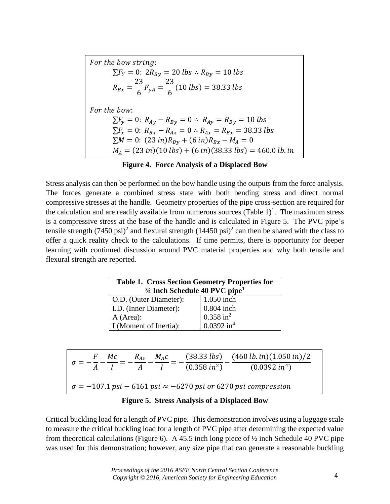For the bow string:  $\sum F_Y = 0$ :  $2R_{By} = 20$  *lbs*  $\therefore R_{By} = 10$  *lbs*  $R_{Bx} =$ 23  $\frac{16}{6}F_{yA} =$ 23 6  $(10 \, lbs) = 38.33 \, lbs$ For the bow:  $\sum F_v = 0$ :  $R_{Av} - R_{Bv} = 0$  ∴  $R_{Av} = R_{Bv} = 10$  lbs  $\sum F_x = 0$ :  $R_{Bx} - R_{Ax} = 0$  ∴  $R_{Ax} = R_{Bx} = 38.33$  lbs  $\sum M = 0$ :  $(23 \text{ in})R_{By} + (6 \text{ in})R_{Bx} - M_A = 0$  $M<sub>A</sub> = (23 in)(10 lbs) + (6 in)(38.33 lbs) = 460.0 lb.in$ 

**Figure 4. Force Analysis of a Displaced Bow**

Stress analysis can then be performed on the bow handle using the outputs from the force analysis. The forces generate a combined stress state with both bending stress and direct normal compressive stresses at the handle. Geometry properties of the pipe cross-section are required for the calculation and are readily available from numerous sources  $(Table 1)^1$ . The maximum stress is a compressive stress at the base of the handle and is calculated in Figure 5. The PVC pipe's tensile strength (7450 psi)<sup>2</sup> and flexural strength (14450 psi)<sup>2</sup> can then be shared with the class to offer a quick reality check to the calculations. If time permits, there is opportunity for deeper learning with continued discussion around PVC material properties and why both tensile and flexural strength are reported.

| <b>Table 1. Cross Section Geometry Properties for</b> |                          |  |
|-------------------------------------------------------|--------------------------|--|
| $\frac{3}{4}$ Inch Schedule 40 PVC pipe <sup>1</sup>  |                          |  |
| O.D. (Outer Diameter):                                | 1.050 inch               |  |
| I.D. (Inner Diameter):                                | 0.804 inch               |  |
| A (Area):                                             | $0.358$ in <sup>2</sup>  |  |
| I (Moment of Inertia):                                | $0.0392$ in <sup>4</sup> |  |

$$
\sigma = -\frac{F}{A} - \frac{Mc}{I} = -\frac{R_{Ax}}{A} - \frac{M_A c}{I} = -\frac{(38.33 \text{ lbs})}{(0.358 \text{ in}^2)} - \frac{(460 \text{ lb. in})(1.050 \text{ in})/2}{(0.0392 \text{ in}^4)}
$$

$$
\sigma = -107.1 \text{ psi} - 6161 \text{ psi} \approx -6270 \text{ psi} \text{ or } 6270 \text{ psi} \text{ compression}
$$

**Figure 5. Stress Analysis of a Displaced Bow**

Critical buckling load for a length of PVC pipe. This demonstration involves using a luggage scale to measure the critical buckling load for a length of PVC pipe after determining the expected value from theoretical calculations (Figure 6). A 45.5 inch long piece of  $\frac{1}{2}$  inch Schedule 40 PVC pipe was used for this demonstration; however, any size pipe that can generate a reasonable buckling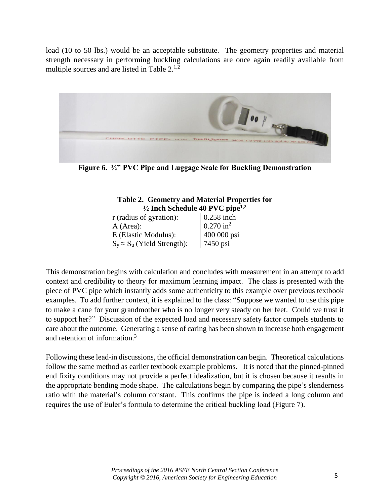load (10 to 50 lbs.) would be an acceptable substitute. The geometry properties and material strength necessary in performing buckling calculations are once again readily available from multiple sources and are listed in Table  $2^{1,2}$ .



**Figure 6. ½" PVC Pipe and Luggage Scale for Buckling Demonstration**

| Table 2. Geometry and Material Properties for          |                         |  |
|--------------------------------------------------------|-------------------------|--|
| $\frac{1}{2}$ Inch Schedule 40 PVC pipe <sup>1,2</sup> |                         |  |
| r (radius of gyration):                                | 0.258 inch              |  |
| A (Area):                                              | $0.270$ in <sup>2</sup> |  |
| E (Elastic Modulus):                                   | 400 000 psi             |  |
| $S_y \approx S_u$ (Yield Strength):                    | 7450 psi                |  |

This demonstration begins with calculation and concludes with measurement in an attempt to add context and credibility to theory for maximum learning impact. The class is presented with the piece of PVC pipe which instantly adds some authenticity to this example over previous textbook examples. To add further context, it is explained to the class: "Suppose we wanted to use this pipe to make a cane for your grandmother who is no longer very steady on her feet. Could we trust it to support her?" Discussion of the expected load and necessary safety factor compels students to care about the outcome. Generating a sense of caring has been shown to increase both engagement and retention of information.<sup>3</sup>

Following these lead-in discussions, the official demonstration can begin. Theoretical calculations follow the same method as earlier textbook example problems. It is noted that the pinned-pinned end fixity conditions may not provide a perfect idealization, but it is chosen because it results in the appropriate bending mode shape. The calculations begin by comparing the pipe's slenderness ratio with the material's column constant. This confirms the pipe is indeed a long column and requires the use of Euler's formula to determine the critical buckling load (Figure 7).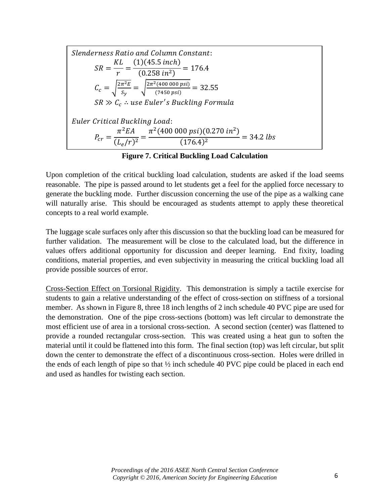| Slenderness Ratio and Column Constant:<br>$SR = \frac{KL}{r} = \frac{(1)(45.5~inch)}{(0.258~in^2)} = 176.4$ |
|-------------------------------------------------------------------------------------------------------------|
| $C_c = \sqrt{\frac{2\pi^2 E}{S_v}} = \sqrt{\frac{2\pi^2 (400\ 000\ psi)}{(7450\ psi)}} = 32.55$             |
| $SR \gg C_c$ : use Euler's Buckling Formula                                                                 |
| Euler Critical Buckling Load:                                                                               |
| $P_{cr} = \frac{\pi^2 EA}{(L_e/r)^2} = \frac{\pi^2 (400\ 000\ psi)(0.270\ in^2)}{(176.4)^2} = 34.2\ lbs$    |

#### **Figure 7. Critical Buckling Load Calculation**

Upon completion of the critical buckling load calculation, students are asked if the load seems reasonable. The pipe is passed around to let students get a feel for the applied force necessary to generate the buckling mode. Further discussion concerning the use of the pipe as a walking cane will naturally arise. This should be encouraged as students attempt to apply these theoretical concepts to a real world example.

The luggage scale surfaces only after this discussion so that the buckling load can be measured for further validation. The measurement will be close to the calculated load, but the difference in values offers additional opportunity for discussion and deeper learning. End fixity, loading conditions, material properties, and even subjectivity in measuring the critical buckling load all provide possible sources of error.

Cross-Section Effect on Torsional Rigidity. This demonstration is simply a tactile exercise for students to gain a relative understanding of the effect of cross-section on stiffness of a torsional member. As shown in Figure 8, three 18 inch lengths of 2 inch schedule 40 PVC pipe are used for the demonstration. One of the pipe cross-sections (bottom) was left circular to demonstrate the most efficient use of area in a torsional cross-section. A second section (center) was flattened to provide a rounded rectangular cross-section. This was created using a heat gun to soften the material until it could be flattened into this form. The final section (top) was left circular, but split down the center to demonstrate the effect of a discontinuous cross-section. Holes were drilled in the ends of each length of pipe so that ½ inch schedule 40 PVC pipe could be placed in each end and used as handles for twisting each section.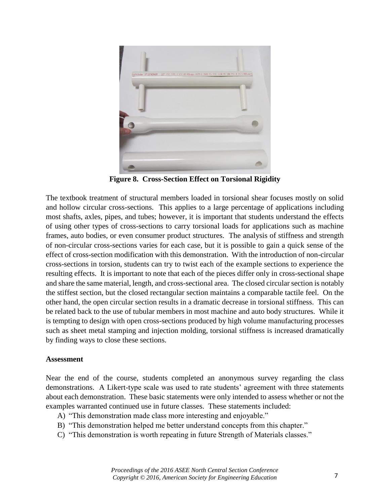

**Figure 8. Cross-Section Effect on Torsional Rigidity**

The textbook treatment of structural members loaded in torsional shear focuses mostly on solid and hollow circular cross-sections. This applies to a large percentage of applications including most shafts, axles, pipes, and tubes; however, it is important that students understand the effects of using other types of cross-sections to carry torsional loads for applications such as machine frames, auto bodies, or even consumer product structures. The analysis of stiffness and strength of non-circular cross-sections varies for each case, but it is possible to gain a quick sense of the effect of cross-section modification with this demonstration. With the introduction of non-circular cross-sections in torsion, students can try to twist each of the example sections to experience the resulting effects. It is important to note that each of the pieces differ only in cross-sectional shape and share the same material, length, and cross-sectional area. The closed circular section is notably the stiffest section, but the closed rectangular section maintains a comparable tactile feel. On the other hand, the open circular section results in a dramatic decrease in torsional stiffness. This can be related back to the use of tubular members in most machine and auto body structures. While it is tempting to design with open cross-sections produced by high volume manufacturing processes such as sheet metal stamping and injection molding, torsional stiffness is increased dramatically by finding ways to close these sections.

#### **Assessment**

Near the end of the course, students completed an anonymous survey regarding the class demonstrations. A Likert-type scale was used to rate students' agreement with three statements about each demonstration. These basic statements were only intended to assess whether or not the examples warranted continued use in future classes. These statements included:

- A) "This demonstration made class more interesting and enjoyable."
- B) "This demonstration helped me better understand concepts from this chapter."
- C) "This demonstration is worth repeating in future Strength of Materials classes."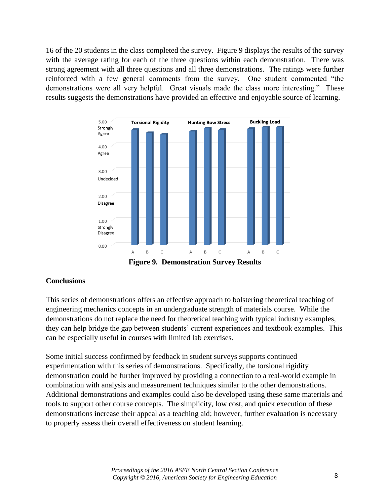16 of the 20 students in the class completed the survey. Figure 9 displays the results of the survey with the average rating for each of the three questions within each demonstration. There was strong agreement with all three questions and all three demonstrations. The ratings were further reinforced with a few general comments from the survey. One student commented "the demonstrations were all very helpful. Great visuals made the class more interesting." These results suggests the demonstrations have provided an effective and enjoyable source of learning.



**Figure 9. Demonstration Survey Results**

## **Conclusions**

This series of demonstrations offers an effective approach to bolstering theoretical teaching of engineering mechanics concepts in an undergraduate strength of materials course. While the demonstrations do not replace the need for theoretical teaching with typical industry examples, they can help bridge the gap between students' current experiences and textbook examples. This can be especially useful in courses with limited lab exercises.

Some initial success confirmed by feedback in student surveys supports continued experimentation with this series of demonstrations. Specifically, the torsional rigidity demonstration could be further improved by providing a connection to a real-world example in combination with analysis and measurement techniques similar to the other demonstrations. Additional demonstrations and examples could also be developed using these same materials and tools to support other course concepts. The simplicity, low cost, and quick execution of these demonstrations increase their appeal as a teaching aid; however, further evaluation is necessary to properly assess their overall effectiveness on student learning.